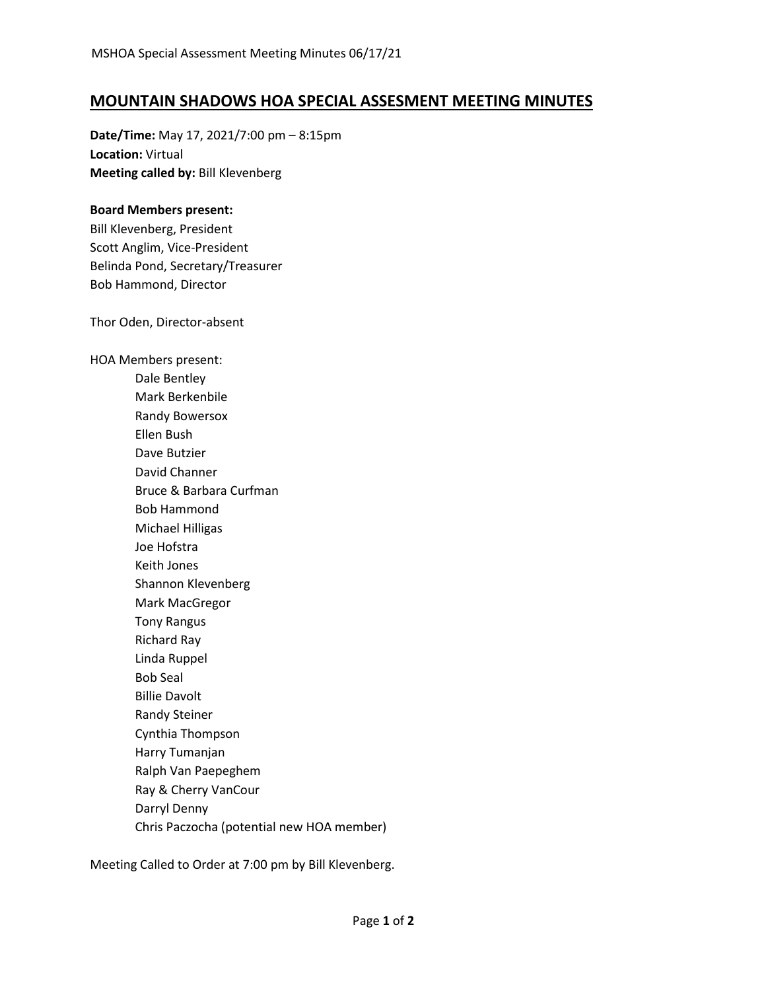## **MOUNTAIN SHADOWS HOA SPECIAL ASSESMENT MEETING MINUTES**

**Date/Time:** May 17, 2021/7:00 pm – 8:15pm **Location:** Virtual **Meeting called by:** Bill Klevenberg

## **Board Members present:**

Bill Klevenberg, President Scott Anglim, Vice-President Belinda Pond, Secretary/Treasurer Bob Hammond, Director

Thor Oden, Director-absent

HOA Members present: Dale Bentley Mark Berkenbile Randy Bowersox Ellen Bush Dave Butzier David Channer Bruce & Barbara Curfman Bob Hammond Michael Hilligas Joe Hofstra Keith Jones Shannon Klevenberg Mark MacGregor Tony Rangus Richard Ray Linda Ruppel Bob Seal Billie Davolt Randy Steiner Cynthia Thompson Harry Tumanjan Ralph Van Paepeghem Ray & Cherry VanCour Darryl Denny Chris Paczocha (potential new HOA member)

Meeting Called to Order at 7:00 pm by Bill Klevenberg.